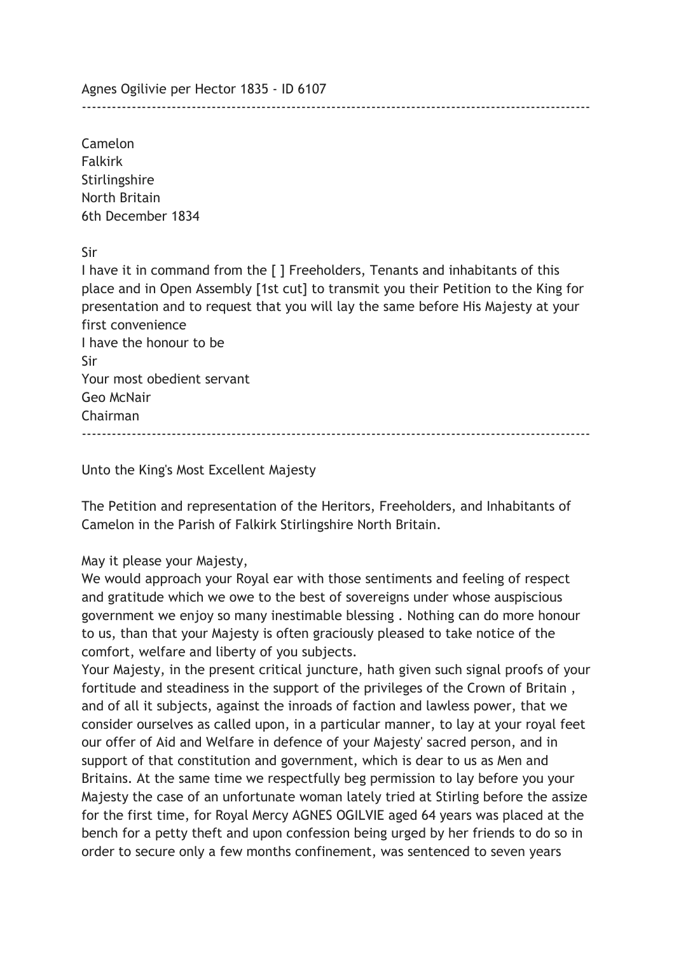Agnes Ogilivie per Hector 1835 - ID 6107

Camelon Falkirk Stirlingshire North Britain 6th December 1834

Sir

I have it in command from the [ ] Freeholders, Tenants and inhabitants of this place and in Open Assembly [1st cut] to transmit you their Petition to the King for presentation and to request that you will lay the same before His Majesty at your first convenience I have the honour to be Sir Your most obedient servant Geo McNair Chairman

------------------------------------------------------------------------------------------------------

------------------------------------------------------------------------------------------------------

Unto the King's Most Excellent Majesty

The Petition and representation of the Heritors, Freeholders, and Inhabitants of Camelon in the Parish of Falkirk Stirlingshire North Britain.

## May it please your Majesty,

We would approach your Royal ear with those sentiments and feeling of respect and gratitude which we owe to the best of sovereigns under whose auspiscious government we enjoy so many inestimable blessing . Nothing can do more honour to us, than that your Majesty is often graciously pleased to take notice of the comfort, welfare and liberty of you subjects.

Your Majesty, in the present critical juncture, hath given such signal proofs of your fortitude and steadiness in the support of the privileges of the Crown of Britain , and of all it subjects, against the inroads of faction and lawless power, that we consider ourselves as called upon, in a particular manner, to lay at your royal feet our offer of Aid and Welfare in defence of your Majesty' sacred person, and in support of that constitution and government, which is dear to us as Men and Britains. At the same time we respectfully beg permission to lay before you your Majesty the case of an unfortunate woman lately tried at Stirling before the assize for the first time, for Royal Mercy AGNES OGILVIE aged 64 years was placed at the bench for a petty theft and upon confession being urged by her friends to do so in order to secure only a few months confinement, was sentenced to seven years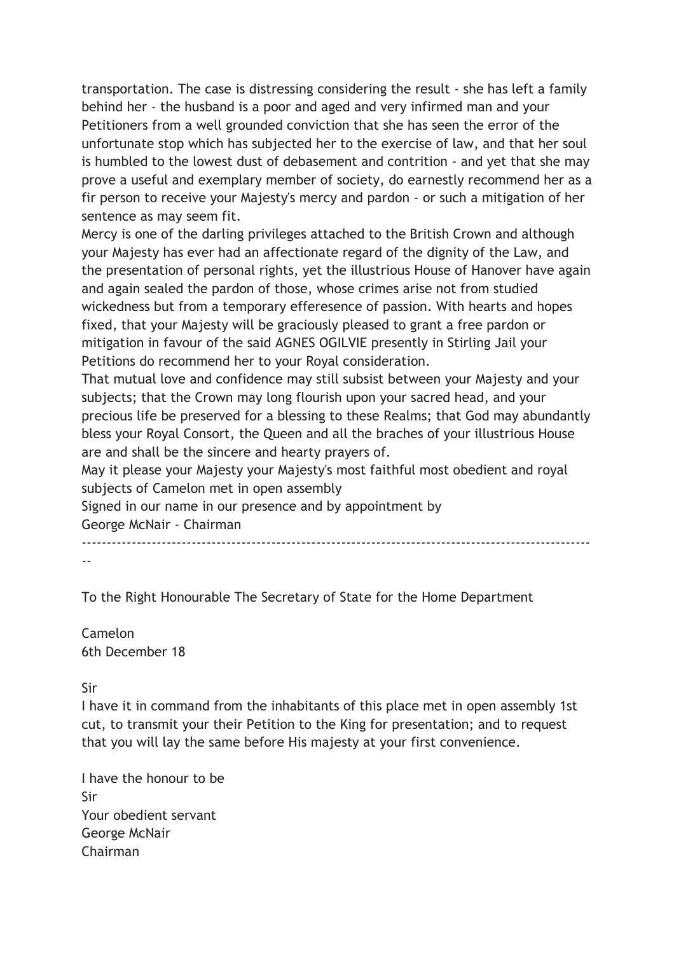transportation. The case is distressing considering the result - she has left a family behind her - the husband is a poor and aged and very infirmed man and your Petitioners from a well grounded conviction that she has seen the error of the unfortunate stop which has subjected her to the exercise of law, and that her soul is humbled to the lowest dust of debasement and contrition - and yet that she may prove a useful and exemplary member of society, do earnestly recommend her as a fir person to receive your Majesty's mercy and pardon - or such a mitigation of her sentence as may seem fit.

Mercy is one of the darling privileges attached to the British Crown and although your Majesty has ever had an affectionate regard of the dignity of the Law, and the presentation of personal rights, yet the illustrious House of Hanover have again and again sealed the pardon of those, whose crimes arise not from studied wickedness but from a temporary efferesence of passion. With hearts and hopes fixed, that your Majesty will be graciously pleased to grant a free pardon or mitigation in favour of the said AGNES OGILVIE presently in Stirling Jail your Petitions do recommend her to your Royal consideration.

That mutual love and confidence may still subsist between your Majesty and your subjects; that the Crown may long flourish upon your sacred head, and your precious life be preserved for a blessing to these Realms; that God may abundantly bless your Royal Consort, the Queen and all the braches of your illustrious House are and shall be the sincere and hearty prayers of.

May it please your Majesty your Majesty's most faithful most obedient and royal subjects of Camelon met in open assembly

Signed in our name in our presence and by appointment by

George McNair - Chairman

------------------------------------------------------------------------------------------------------

--

To the Right Honourable The Secretary of State for the Home Department

Camelon 6th December 18

Sir

I have it in command from the inhabitants of this place met in open assembly 1st cut, to transmit your their Petition to the King for presentation; and to request that you will lay the same before His majesty at your first convenience.

I have the honour to be Sir Your obedient servant George McNair Chairman